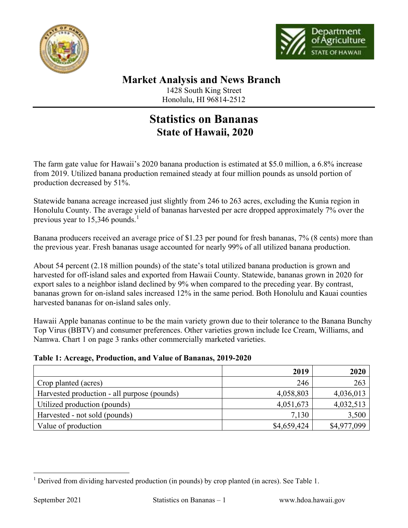



## **Market Analysis and News Branch** 1428 South King Street

Honolulu, HI 96814-2512

## **Statistics on Bananas State of Hawaii, 2020**

The farm gate value for Hawaii's 2020 banana production is estimated at \$5.0 million, a 6.8% increase from 2019. Utilized banana production remained steady at four million pounds as unsold portion of production decreased by 51%.

Statewide banana acreage increased just slightly from 246 to 263 acres, excluding the Kunia region in Honolulu County. The average yield of bananas harvested per acre dropped approximately 7% over the previous year to  $15,346$  $15,346$  pounds.<sup>1</sup>

Banana producers received an average price of \$1.23 per pound for fresh bananas, 7% (8 cents) more than the previous year. Fresh bananas usage accounted for nearly 99% of all utilized banana production.

About 54 percent (2.18 million pounds) of the state's total utilized banana production is grown and harvested for off-island sales and exported from Hawaii County. Statewide, bananas grown in 2020 for export sales to a neighbor island declined by 9% when compared to the preceding year. By contrast, bananas grown for on-island sales increased 12% in the same period. Both Honolulu and Kauai counties harvested bananas for on-island sales only.

Hawaii Apple bananas continue to be the main variety grown due to their tolerance to the Banana Bunchy Top Virus (BBTV) and consumer preferences. Other varieties grown include Ice Cream, Williams, and Namwa. Chart 1 on page 3 ranks other commercially marketed varieties.

## **Table 1: Acreage, Production, and Value of Bananas, 2019-2020**

|                                             | 2019        | 2020        |
|---------------------------------------------|-------------|-------------|
| Crop planted (acres)                        | 246         | 263         |
| Harvested production - all purpose (pounds) | 4,058,803   | 4,036,013   |
| Utilized production (pounds)                | 4,051,673   | 4,032,513   |
| Harvested - not sold (pounds)               | 7,130       | 3,500       |
| Value of production                         | \$4,659,424 | \$4,977,099 |

<span id="page-0-0"></span><sup>&</sup>lt;sup>1</sup> Derived from dividing harvested production (in pounds) by crop planted (in acres). See Table 1.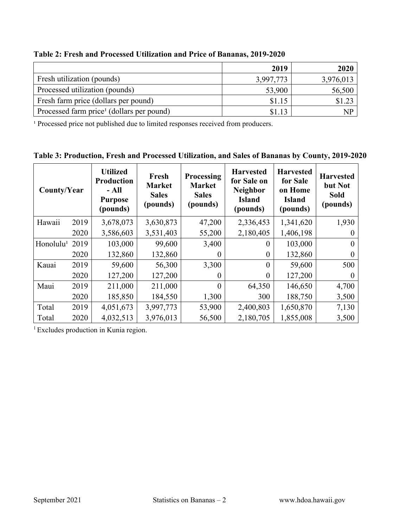|                                                       | 2019      | 2020      |
|-------------------------------------------------------|-----------|-----------|
| Fresh utilization (pounds)                            | 3,997,773 | 3,976,013 |
| Processed utilization (pounds)                        | 53,900    | 56,500    |
| Fresh farm price (dollars per pound)                  | \$1.15    | \$1.23    |
| Processed farm price <sup>1</sup> (dollars per pound) | \$1.13    | NP.       |

**Table 2: Fresh and Processed Utilization and Price of Bananas, 2019-2020**

<sup>1</sup> Processed price not published due to limited responses received from producers.

**Table 3: Production, Fresh and Processed Utilization, and Sales of Bananas by County, 2019-2020**

| County/Year           |      | <b>Utilized</b><br><b>Production</b><br>- All<br><b>Purpose</b><br>(pounds) | Fresh<br><b>Market</b><br><b>Sales</b><br>(pounds) | <b>Processing</b><br><b>Market</b><br><b>Sales</b><br>(pounds) | <b>Harvested</b><br>for Sale on<br><b>Neighbor</b><br><b>Island</b><br>(pounds) | <b>Harvested</b><br>for Sale<br>on Home<br><b>Island</b><br>(pounds) | <b>Harvested</b><br>but Not<br><b>Sold</b><br>(pounds) |
|-----------------------|------|-----------------------------------------------------------------------------|----------------------------------------------------|----------------------------------------------------------------|---------------------------------------------------------------------------------|----------------------------------------------------------------------|--------------------------------------------------------|
| Hawaii                | 2019 | 3,678,073                                                                   | 3,630,873                                          | 47,200                                                         | 2,336,453                                                                       | 1,341,620                                                            | 1,930                                                  |
|                       | 2020 | 3,586,603                                                                   | 3,531,403                                          | 55,200                                                         | 2,180,405                                                                       | 1,406,198                                                            |                                                        |
| Honolulu <sup>1</sup> | 2019 | 103,000                                                                     | 99,600                                             | 3,400                                                          | $\Omega$                                                                        | 103,000                                                              |                                                        |
|                       | 2020 | 132,860                                                                     | 132,860                                            |                                                                | $\theta$                                                                        | 132,860                                                              |                                                        |
| Kauai                 | 2019 | 59,600                                                                      | 56,300                                             | 3,300                                                          | $\theta$                                                                        | 59,600                                                               | 500                                                    |
|                       | 2020 | 127,200                                                                     | 127,200                                            | $\left( \right)$                                               | $\theta$                                                                        | 127,200                                                              |                                                        |
| Maui                  | 2019 | 211,000                                                                     | 211,000                                            | $\theta$                                                       | 64,350                                                                          | 146,650                                                              | 4,700                                                  |
|                       | 2020 | 185,850                                                                     | 184,550                                            | 1,300                                                          | 300                                                                             | 188,750                                                              | 3,500                                                  |
| Total                 | 2019 | 4,051,673                                                                   | 3,997,773                                          | 53,900                                                         | 2,400,803                                                                       | 1,650,870                                                            | 7,130                                                  |
| Total                 | 2020 | 4,032,513                                                                   | 3,976,013                                          | 56,500                                                         | 2,180,705                                                                       | 1,855,008                                                            | 3,500                                                  |

<sup>1</sup> Excludes production in Kunia region.